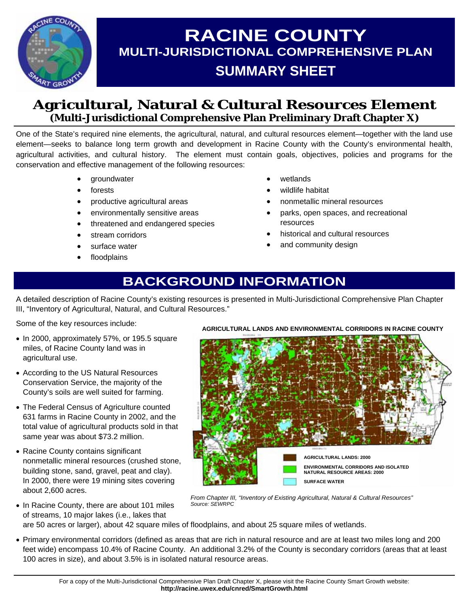

# **RACINE COUNTY MULTI-JURISDICTIONAL COMPREHENSIVE PLAN SUMMARY SHEET**

### **Agricultural, Natural & Cultural Resources Element (Multi-Jurisdictional Comprehensive Plan Preliminary Draft Chapter X)**

One of the State's required nine elements, the agricultural, natural, and cultural resources element—together with the land use element—seeks to balance long term growth and development in Racine County with the County's environmental health, agricultural activities, and cultural history. The element must contain goals, objectives, policies and programs for the conservation and effective management of the following resources:

- groundwater
- **forests**
- productive agricultural areas
- environmentally sensitive areas
- threatened and endangered species
- stream corridors
- surface water
- **floodplains**
- wetlands
- wildlife habitat
- nonmetallic mineral resources
- parks, open spaces, and recreational resources
- historical and cultural resources
- and community design

## **BACKGROUND INFORMATION**

A detailed description of Racine County's existing resources is presented in Multi-Jurisdictional Comprehensive Plan Chapter III, "Inventory of Agricultural, Natural, and Cultural Resources."

Some of the key resources include:

- In 2000, approximately 57%, or 195.5 square miles, of Racine County land was in agricultural use.
- According to the US Natural Resources Conservation Service, the majority of the County's soils are well suited for farming.
- The Federal Census of Agriculture counted 631 farms in Racine County in 2002, and the total value of agricultural products sold in that same year was about \$73.2 million.
- Racine County contains significant nonmetallic mineral resources (crushed stone, building stone, sand, gravel, peat and clay). In 2000, there were 19 mining sites covering about 2,600 acres.

• In Racine County, there are about 101 miles of streams, 10 major lakes (i.e., lakes that

**AGRICULTURAL LANDS: 2000 ENVIRONMENTAL CORRIDORS AND ISOLATED NATURAL RESOURCE AREAS: 2000 SURFACE WATER** 

*From Chapter III, "Inventory of Existing Agricultural, Natural & Cultural Resources" Source: SEWRPC* 

are 50 acres or larger), about 42 square miles of floodplains, and about 25 square miles of wetlands.

• Primary environmental corridors (defined as areas that are rich in natural resource and are at least two miles long and 200 feet wide) encompass 10.4% of Racine County. An additional 3.2% of the County is secondary corridors (areas that at least 100 acres in size), and about 3.5% is in isolated natural resource areas.

**AGRICULTURAL LANDS AND ENVIRONMENTAL CORRIDORS IN RACINE COUNTY**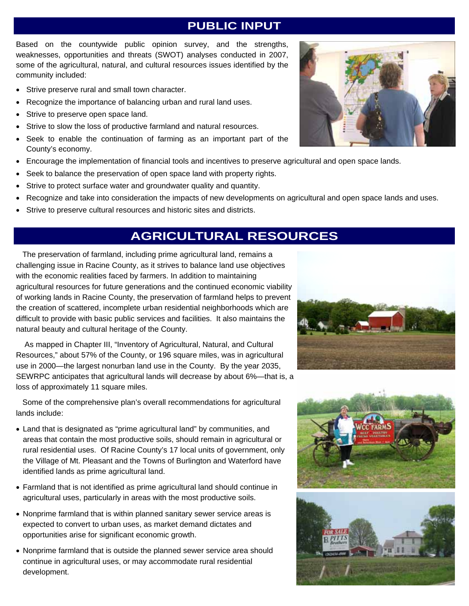Based on the countywide public opinion survey, and the strengths, weaknesses, opportunities and threats (SWOT) analyses conducted in 2007, some of the agricultural, natural, and cultural resources issues identified by the community included:

- Strive preserve rural and small town character.
- Recognize the importance of balancing urban and rural land uses.
- Strive to preserve open space land.
- Strive to slow the loss of productive farmland and natural resources.
- Seek to enable the continuation of farming as an important part of the County's economy.
- Encourage the implementation of financial tools and incentives to preserve agricultural and open space lands.
- Seek to balance the preservation of open space land with property rights.
- Strive to protect surface water and groundwater quality and quantity.
- Recognize and take into consideration the impacts of new developments on agricultural and open space lands and uses.
- Strive to preserve cultural resources and historic sites and districts.

## **AGRICULTURAL RESOURCES**

 The preservation of farmland, including prime agricultural land, remains a challenging issue in Racine County, as it strives to balance land use objectives with the economic realities faced by farmers. In addition to maintaining agricultural resources for future generations and the continued economic viability of working lands in Racine County, the preservation of farmland helps to prevent the creation of scattered, incomplete urban residential neighborhoods which are difficult to provide with basic public services and facilities. It also maintains the natural beauty and cultural heritage of the County.

 As mapped in Chapter III, "Inventory of Agricultural, Natural, and Cultural Resources," about 57% of the County, or 196 square miles, was in agricultural use in 2000—the largest nonurban land use in the County. By the year 2035, SEWRPC anticipates that agricultural lands will decrease by about 6%—that is, a loss of approximately 11 square miles.

 Some of the comprehensive plan's overall recommendations for agricultural lands include:

- Land that is designated as "prime agricultural land" by communities, and areas that contain the most productive soils, should remain in agricultural or rural residential uses. Of Racine County's 17 local units of government, only the Village of Mt. Pleasant and the Towns of Burlington and Waterford have identified lands as prime agricultural land.
- Farmland that is not identified as prime agricultural land should continue in agricultural uses, particularly in areas with the most productive soils.
- Nonprime farmland that is within planned sanitary sewer service areas is expected to convert to urban uses, as market demand dictates and opportunities arise for significant economic growth.
- Nonprime farmland that is outside the planned sewer service area should continue in agricultural uses, or may accommodate rural residential development.







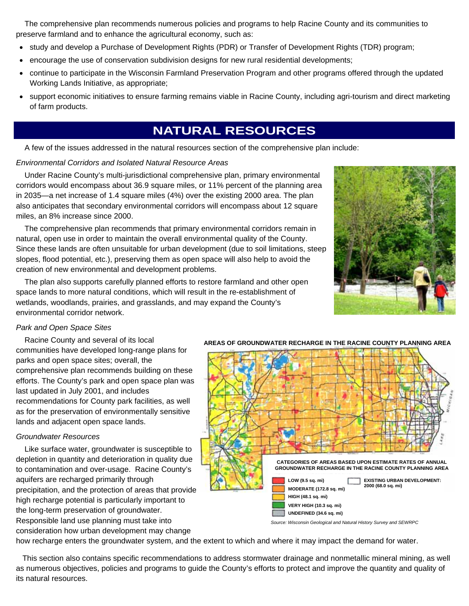The comprehensive plan recommends numerous policies and programs to help Racine County and its communities to preserve farmland and to enhance the agricultural economy, such as:

- study and develop a Purchase of Development Rights (PDR) or Transfer of Development Rights (TDR) program;
- encourage the use of conservation subdivision designs for new rural residential developments;
- continue to participate in the Wisconsin Farmland Preservation Program and other programs offered through the updated Working Lands Initiative, as appropriate;
- support economic initiatives to ensure farming remains viable in Racine County, including agri-tourism and direct marketing of farm products.

### **NATURAL RESOURCES**

A few of the issues addressed in the natural resources section of the comprehensive plan include:

#### *Environmental Corridors and Isolated Natural Resource Areas*

 Under Racine County's multi-jurisdictional comprehensive plan, primary environmental corridors would encompass about 36.9 square miles, or 11% percent of the planning area in 2035—a net increase of 1.4 square miles (4%) over the existing 2000 area. The plan also anticipates that secondary environmental corridors will encompass about 12 square miles, an 8% increase since 2000.

 The comprehensive plan recommends that primary environmental corridors remain in natural, open use in order to maintain the overall environmental quality of the County. Since these lands are often unsuitable for urban development (due to soil limitations, steep slopes, flood potential, etc.), preserving them as open space will also help to avoid the creation of new environmental and development problems.

 The plan also supports carefully planned efforts to restore farmland and other open space lands to more natural conditions, which will result in the re-establishment of wetlands, woodlands, prairies, and grasslands, and may expand the County's environmental corridor network.



#### *Park and Open Space Sites*

 Racine County and several of its local communities have developed long-range plans for parks and open space sites; overall, the comprehensive plan recommends building on these efforts. The County's park and open space plan was last updated in July 2001, and includes recommendations for County park facilities, as well as for the preservation of environmentally sensitive lands and adjacent open space lands.

#### *Groundwater Resources*

 Like surface water, groundwater is susceptible to depletion in quantity and deterioration in quality due to contamination and over-usage. Racine County's aquifers are recharged primarily through precipitation, and the protection of areas that provide high recharge potential is particularly important to the long-term preservation of groundwater. Responsible land use planning must take into consideration how urban development may change



*Source: Wisconsin Geological and Natural History Survey and SEWRPC* 

how recharge enters the groundwater system, and the extent to which and where it may impact the demand for water.

 This section also contains specific recommendations to address stormwater drainage and nonmetallic mineral mining, as well as numerous objectives, policies and programs to guide the County's efforts to protect and improve the quantity and quality of its natural resources.

#### **AREAS OF GROUNDWATER RECHARGE IN THE RACINE COUNTY PLANNING AREA**